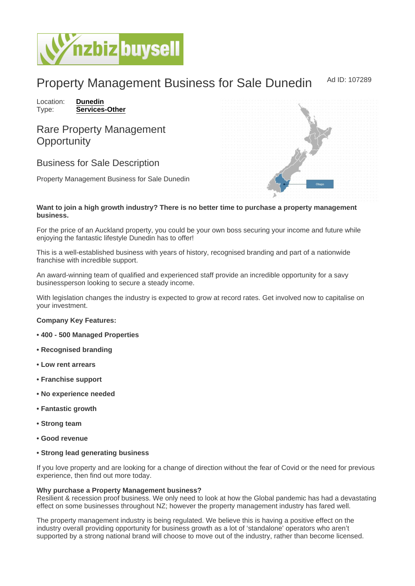## Property Management Business for Sale Dunedin Ad ID: 107289

Location: [Dunedin](https://www.nzbizbuysell.co.nz/businesses-for-sale/location/Dunedin) Type: [Services-Other](https://www.nzbizbuysell.co.nz/businesses-for-sale/Services/New-Zealand)

## Rare Property Management **Opportunity**

Business for Sale Description

Property Management Business for Sale Dunedin

Want to join a high growth industry? There is no better time to purchase a property management business.

For the price of an Auckland property, you could be your own boss securing your income and future while enjoying the fantastic lifestyle Dunedin has to offer!

This is a well-established business with years of history, recognised branding and part of a nationwide franchise with incredible support.

An award-winning team of qualified and experienced staff provide an incredible opportunity for a savy businessperson looking to secure a steady income.

With legislation changes the industry is expected to grow at record rates. Get involved now to capitalise on your investment.

Company Key Features:

- 400 500 Managed Properties
- Recognised branding
- Low rent arrears
- Franchise support
- No experience needed
- Fantastic growth
- Strong team
- Good revenue
- Strong lead generating business

If you love property and are looking for a change of direction without the fear of Covid or the need for previous experience, then find out more today.

Why purchase a Property Management business?

Resilient & recession proof business. We only need to look at how the Global pandemic has had a devastating effect on some businesses throughout NZ; however the property management industry has fared well.

The property management industry is being regulated. We believe this is having a positive effect on the industry overall providing opportunity for business growth as a lot of 'standalone' operators who aren't supported by a strong national brand will choose to move out of the industry, rather than become licensed.